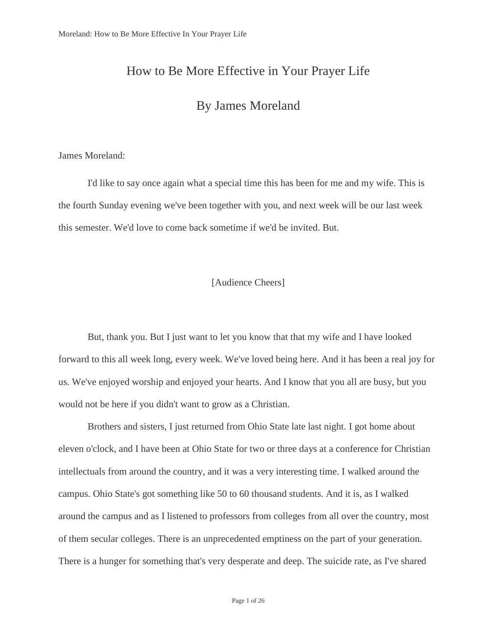# How to Be More Effective in Your Prayer Life

# By James Moreland

## James Moreland:

I'd like to say once again what a special time this has been for me and my wife. This is the fourth Sunday evening we've been together with you, and next week will be our last week this semester. We'd love to come back sometime if we'd be invited. But.

## [Audience Cheers]

But, thank you. But I just want to let you know that that my wife and I have looked forward to this all week long, every week. We've loved being here. And it has been a real joy for us. We've enjoyed worship and enjoyed your hearts. And I know that you all are busy, but you would not be here if you didn't want to grow as a Christian.

Brothers and sisters, I just returned from Ohio State late last night. I got home about eleven o'clock, and I have been at Ohio State for two or three days at a conference for Christian intellectuals from around the country, and it was a very interesting time. I walked around the campus. Ohio State's got something like 50 to 60 thousand students. And it is, as I walked around the campus and as I listened to professors from colleges from all over the country, most of them secular colleges. There is an unprecedented emptiness on the part of your generation. There is a hunger for something that's very desperate and deep. The suicide rate, as I've shared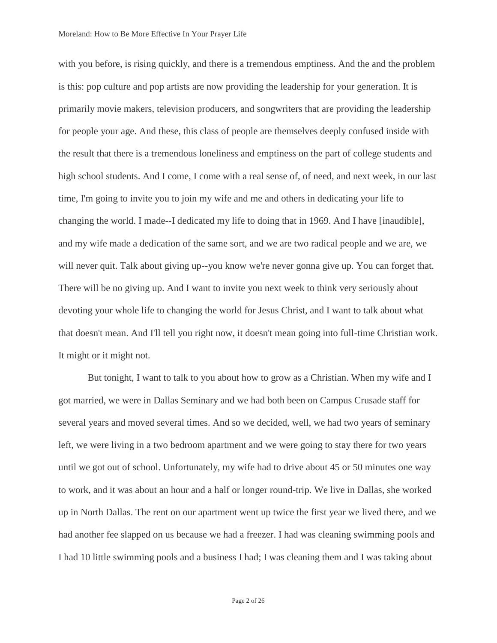with you before, is rising quickly, and there is a tremendous emptiness. And the and the problem is this: pop culture and pop artists are now providing the leadership for your generation. It is primarily movie makers, television producers, and songwriters that are providing the leadership for people your age. And these, this class of people are themselves deeply confused inside with the result that there is a tremendous loneliness and emptiness on the part of college students and high school students. And I come, I come with a real sense of, of need, and next week, in our last time, I'm going to invite you to join my wife and me and others in dedicating your life to changing the world. I made--I dedicated my life to doing that in 1969. And I have [inaudible], and my wife made a dedication of the same sort, and we are two radical people and we are, we will never quit. Talk about giving up--you know we're never gonna give up. You can forget that. There will be no giving up. And I want to invite you next week to think very seriously about devoting your whole life to changing the world for Jesus Christ, and I want to talk about what that doesn't mean. And I'll tell you right now, it doesn't mean going into full-time Christian work. It might or it might not.

But tonight, I want to talk to you about how to grow as a Christian. When my wife and I got married, we were in Dallas Seminary and we had both been on Campus Crusade staff for several years and moved several times. And so we decided, well, we had two years of seminary left, we were living in a two bedroom apartment and we were going to stay there for two years until we got out of school. Unfortunately, my wife had to drive about 45 or 50 minutes one way to work, and it was about an hour and a half or longer round-trip. We live in Dallas, she worked up in North Dallas. The rent on our apartment went up twice the first year we lived there, and we had another fee slapped on us because we had a freezer. I had was cleaning swimming pools and I had 10 little swimming pools and a business I had; I was cleaning them and I was taking about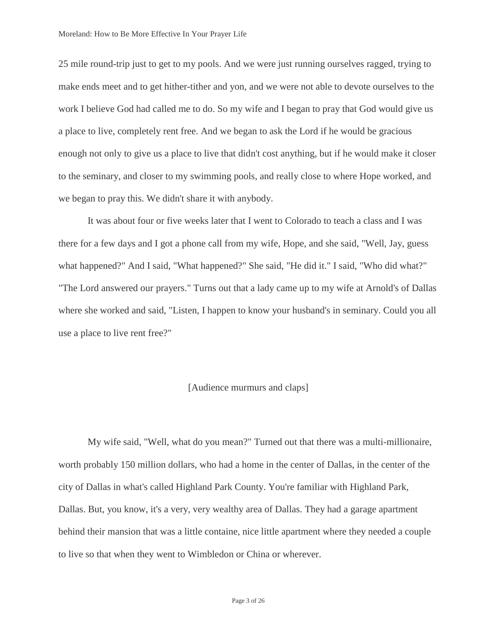25 mile round-trip just to get to my pools. And we were just running ourselves ragged, trying to make ends meet and to get hither-tither and yon, and we were not able to devote ourselves to the work I believe God had called me to do. So my wife and I began to pray that God would give us a place to live, completely rent free. And we began to ask the Lord if he would be gracious enough not only to give us a place to live that didn't cost anything, but if he would make it closer to the seminary, and closer to my swimming pools, and really close to where Hope worked, and we began to pray this. We didn't share it with anybody.

It was about four or five weeks later that I went to Colorado to teach a class and I was there for a few days and I got a phone call from my wife, Hope, and she said, "Well, Jay, guess what happened?" And I said, "What happened?" She said, "He did it." I said, "Who did what?" "The Lord answered our prayers." Turns out that a lady came up to my wife at Arnold's of Dallas where she worked and said, "Listen, I happen to know your husband's in seminary. Could you all use a place to live rent free?"

## [Audience murmurs and claps]

My wife said, "Well, what do you mean?" Turned out that there was a multi-millionaire, worth probably 150 million dollars, who had a home in the center of Dallas, in the center of the city of Dallas in what's called Highland Park County. You're familiar with Highland Park, Dallas. But, you know, it's a very, very wealthy area of Dallas. They had a garage apartment behind their mansion that was a little containe, nice little apartment where they needed a couple to live so that when they went to Wimbledon or China or wherever.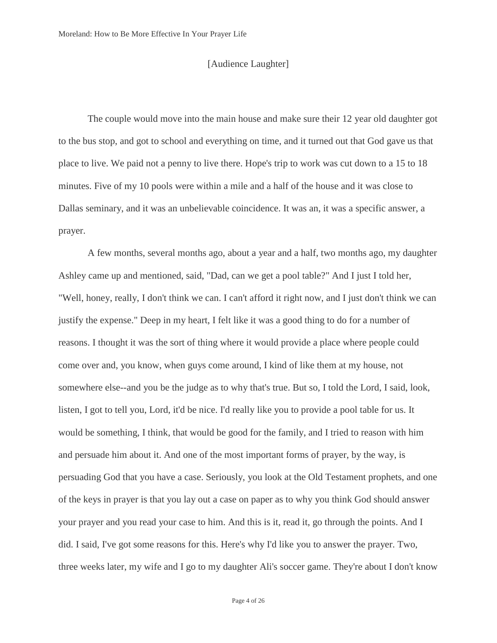## [Audience Laughter]

The couple would move into the main house and make sure their 12 year old daughter got to the bus stop, and got to school and everything on time, and it turned out that God gave us that place to live. We paid not a penny to live there. Hope's trip to work was cut down to a 15 to 18 minutes. Five of my 10 pools were within a mile and a half of the house and it was close to Dallas seminary, and it was an unbelievable coincidence. It was an, it was a specific answer, a prayer.

A few months, several months ago, about a year and a half, two months ago, my daughter Ashley came up and mentioned, said, "Dad, can we get a pool table?" And I just I told her, "Well, honey, really, I don't think we can. I can't afford it right now, and I just don't think we can justify the expense." Deep in my heart, I felt like it was a good thing to do for a number of reasons. I thought it was the sort of thing where it would provide a place where people could come over and, you know, when guys come around, I kind of like them at my house, not somewhere else--and you be the judge as to why that's true. But so, I told the Lord, I said, look, listen, I got to tell you, Lord, it'd be nice. I'd really like you to provide a pool table for us. It would be something, I think, that would be good for the family, and I tried to reason with him and persuade him about it. And one of the most important forms of prayer, by the way, is persuading God that you have a case. Seriously, you look at the Old Testament prophets, and one of the keys in prayer is that you lay out a case on paper as to why you think God should answer your prayer and you read your case to him. And this is it, read it, go through the points. And I did. I said, I've got some reasons for this. Here's why I'd like you to answer the prayer. Two, three weeks later, my wife and I go to my daughter Ali's soccer game. They're about I don't know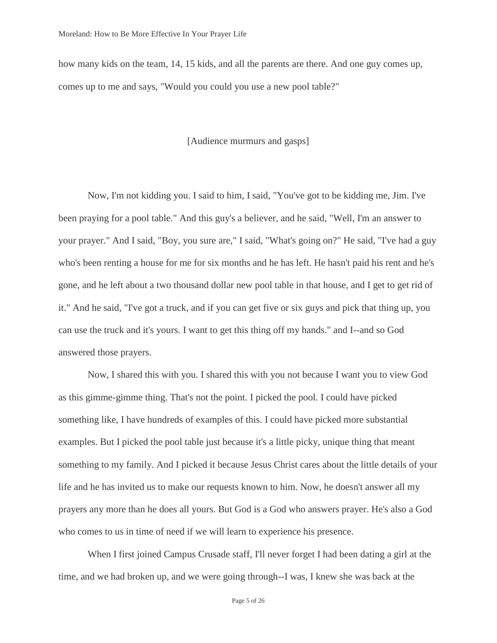how many kids on the team, 14, 15 kids, and all the parents are there. And one guy comes up, comes up to me and says, "Would you could you use a new pool table?"

## [Audience murmurs and gasps]

Now, I'm not kidding you. I said to him, I said, "You've got to be kidding me, Jim. I've been praying for a pool table." And this guy's a believer, and he said, "Well, I'm an answer to your prayer." And I said, "Boy, you sure are," I said, "What's going on?" He said, "I've had a guy who's been renting a house for me for six months and he has left. He hasn't paid his rent and he's gone, and he left about a two thousand dollar new pool table in that house, and I get to get rid of it." And he said, "I've got a truck, and if you can get five or six guys and pick that thing up, you can use the truck and it's yours. I want to get this thing off my hands." and I--and so God answered those prayers.

Now, I shared this with you. I shared this with you not because I want you to view God as this gimme-gimme thing. That's not the point. I picked the pool. I could have picked something like, I have hundreds of examples of this. I could have picked more substantial examples. But I picked the pool table just because it's a little picky, unique thing that meant something to my family. And I picked it because Jesus Christ cares about the little details of your life and he has invited us to make our requests known to him. Now, he doesn't answer all my prayers any more than he does all yours. But God is a God who answers prayer. He's also a God who comes to us in time of need if we will learn to experience his presence.

When I first joined Campus Crusade staff, I'll never forget I had been dating a girl at the time, and we had broken up, and we were going through--I was, I knew she was back at the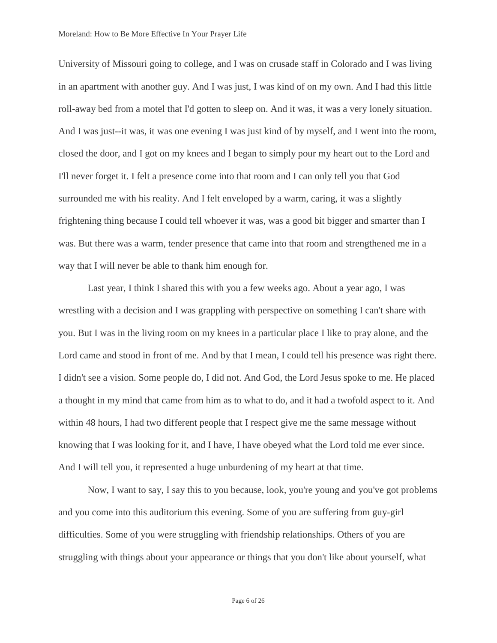University of Missouri going to college, and I was on crusade staff in Colorado and I was living in an apartment with another guy. And I was just, I was kind of on my own. And I had this little roll-away bed from a motel that I'd gotten to sleep on. And it was, it was a very lonely situation. And I was just--it was, it was one evening I was just kind of by myself, and I went into the room, closed the door, and I got on my knees and I began to simply pour my heart out to the Lord and I'll never forget it. I felt a presence come into that room and I can only tell you that God surrounded me with his reality. And I felt enveloped by a warm, caring, it was a slightly frightening thing because I could tell whoever it was, was a good bit bigger and smarter than I was. But there was a warm, tender presence that came into that room and strengthened me in a way that I will never be able to thank him enough for.

Last year, I think I shared this with you a few weeks ago. About a year ago, I was wrestling with a decision and I was grappling with perspective on something I can't share with you. But I was in the living room on my knees in a particular place I like to pray alone, and the Lord came and stood in front of me. And by that I mean, I could tell his presence was right there. I didn't see a vision. Some people do, I did not. And God, the Lord Jesus spoke to me. He placed a thought in my mind that came from him as to what to do, and it had a twofold aspect to it. And within 48 hours, I had two different people that I respect give me the same message without knowing that I was looking for it, and I have, I have obeyed what the Lord told me ever since. And I will tell you, it represented a huge unburdening of my heart at that time.

Now, I want to say, I say this to you because, look, you're young and you've got problems and you come into this auditorium this evening. Some of you are suffering from guy-girl difficulties. Some of you were struggling with friendship relationships. Others of you are struggling with things about your appearance or things that you don't like about yourself, what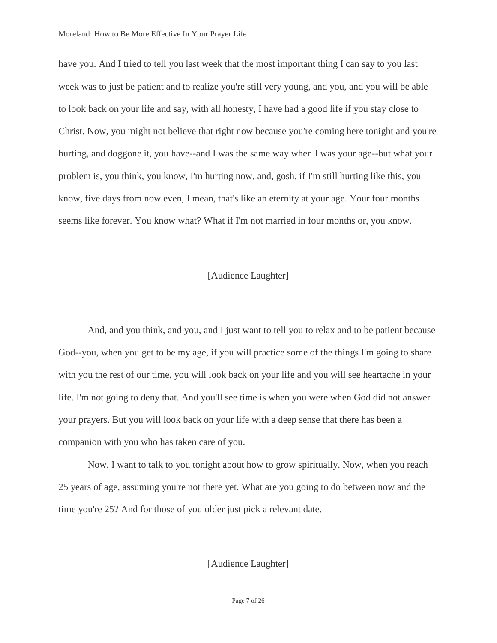have you. And I tried to tell you last week that the most important thing I can say to you last week was to just be patient and to realize you're still very young, and you, and you will be able to look back on your life and say, with all honesty, I have had a good life if you stay close to Christ. Now, you might not believe that right now because you're coming here tonight and you're hurting, and doggone it, you have--and I was the same way when I was your age--but what your problem is, you think, you know, I'm hurting now, and, gosh, if I'm still hurting like this, you know, five days from now even, I mean, that's like an eternity at your age. Your four months seems like forever. You know what? What if I'm not married in four months or, you know.

## [Audience Laughter]

And, and you think, and you, and I just want to tell you to relax and to be patient because God--you, when you get to be my age, if you will practice some of the things I'm going to share with you the rest of our time, you will look back on your life and you will see heartache in your life. I'm not going to deny that. And you'll see time is when you were when God did not answer your prayers. But you will look back on your life with a deep sense that there has been a companion with you who has taken care of you.

Now, I want to talk to you tonight about how to grow spiritually. Now, when you reach 25 years of age, assuming you're not there yet. What are you going to do between now and the time you're 25? And for those of you older just pick a relevant date.

[Audience Laughter]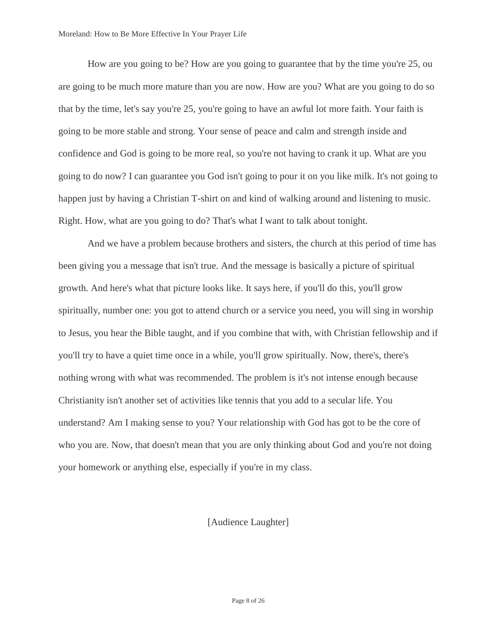How are you going to be? How are you going to guarantee that by the time you're 25, ou are going to be much more mature than you are now. How are you? What are you going to do so that by the time, let's say you're 25, you're going to have an awful lot more faith. Your faith is going to be more stable and strong. Your sense of peace and calm and strength inside and confidence and God is going to be more real, so you're not having to crank it up. What are you going to do now? I can guarantee you God isn't going to pour it on you like milk. It's not going to happen just by having a Christian T-shirt on and kind of walking around and listening to music. Right. How, what are you going to do? That's what I want to talk about tonight.

And we have a problem because brothers and sisters, the church at this period of time has been giving you a message that isn't true. And the message is basically a picture of spiritual growth. And here's what that picture looks like. It says here, if you'll do this, you'll grow spiritually, number one: you got to attend church or a service you need, you will sing in worship to Jesus, you hear the Bible taught, and if you combine that with, with Christian fellowship and if you'll try to have a quiet time once in a while, you'll grow spiritually. Now, there's, there's nothing wrong with what was recommended. The problem is it's not intense enough because Christianity isn't another set of activities like tennis that you add to a secular life. You understand? Am I making sense to you? Your relationship with God has got to be the core of who you are. Now, that doesn't mean that you are only thinking about God and you're not doing your homework or anything else, especially if you're in my class.

## [Audience Laughter]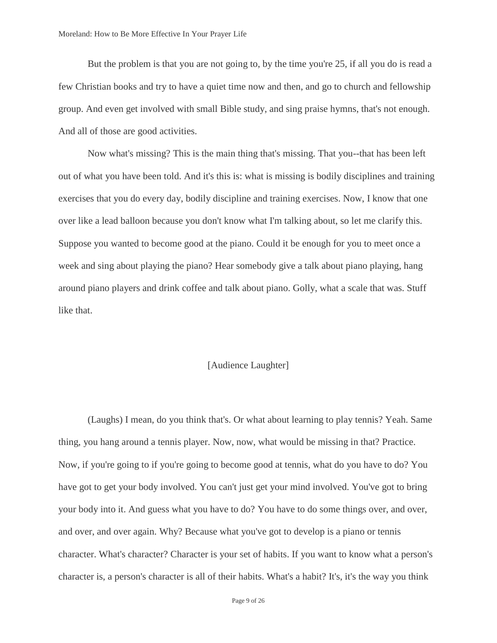But the problem is that you are not going to, by the time you're 25, if all you do is read a few Christian books and try to have a quiet time now and then, and go to church and fellowship group. And even get involved with small Bible study, and sing praise hymns, that's not enough. And all of those are good activities.

Now what's missing? This is the main thing that's missing. That you--that has been left out of what you have been told. And it's this is: what is missing is bodily disciplines and training exercises that you do every day, bodily discipline and training exercises. Now, I know that one over like a lead balloon because you don't know what I'm talking about, so let me clarify this. Suppose you wanted to become good at the piano. Could it be enough for you to meet once a week and sing about playing the piano? Hear somebody give a talk about piano playing, hang around piano players and drink coffee and talk about piano. Golly, what a scale that was. Stuff like that.

## [Audience Laughter]

(Laughs) I mean, do you think that's. Or what about learning to play tennis? Yeah. Same thing, you hang around a tennis player. Now, now, what would be missing in that? Practice. Now, if you're going to if you're going to become good at tennis, what do you have to do? You have got to get your body involved. You can't just get your mind involved. You've got to bring your body into it. And guess what you have to do? You have to do some things over, and over, and over, and over again. Why? Because what you've got to develop is a piano or tennis character. What's character? Character is your set of habits. If you want to know what a person's character is, a person's character is all of their habits. What's a habit? It's, it's the way you think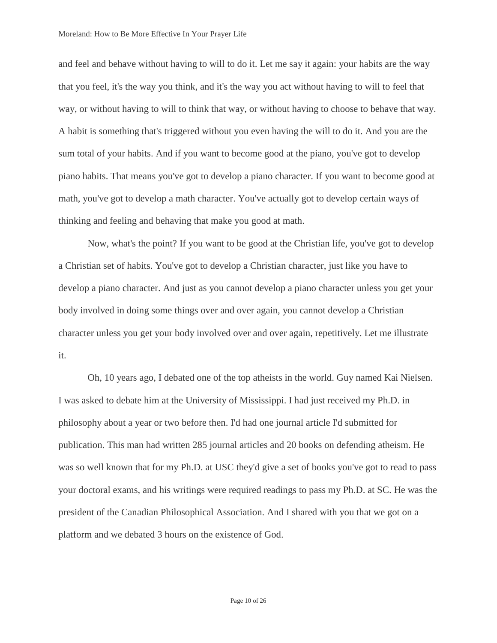and feel and behave without having to will to do it. Let me say it again: your habits are the way that you feel, it's the way you think, and it's the way you act without having to will to feel that way, or without having to will to think that way, or without having to choose to behave that way. A habit is something that's triggered without you even having the will to do it. And you are the sum total of your habits. And if you want to become good at the piano, you've got to develop piano habits. That means you've got to develop a piano character. If you want to become good at math, you've got to develop a math character. You've actually got to develop certain ways of thinking and feeling and behaving that make you good at math.

Now, what's the point? If you want to be good at the Christian life, you've got to develop a Christian set of habits. You've got to develop a Christian character, just like you have to develop a piano character. And just as you cannot develop a piano character unless you get your body involved in doing some things over and over again, you cannot develop a Christian character unless you get your body involved over and over again, repetitively. Let me illustrate it.

Oh, 10 years ago, I debated one of the top atheists in the world. Guy named Kai Nielsen. I was asked to debate him at the University of Mississippi. I had just received my Ph.D. in philosophy about a year or two before then. I'd had one journal article I'd submitted for publication. This man had written 285 journal articles and 20 books on defending atheism. He was so well known that for my Ph.D. at USC they'd give a set of books you've got to read to pass your doctoral exams, and his writings were required readings to pass my Ph.D. at SC. He was the president of the Canadian Philosophical Association. And I shared with you that we got on a platform and we debated 3 hours on the existence of God.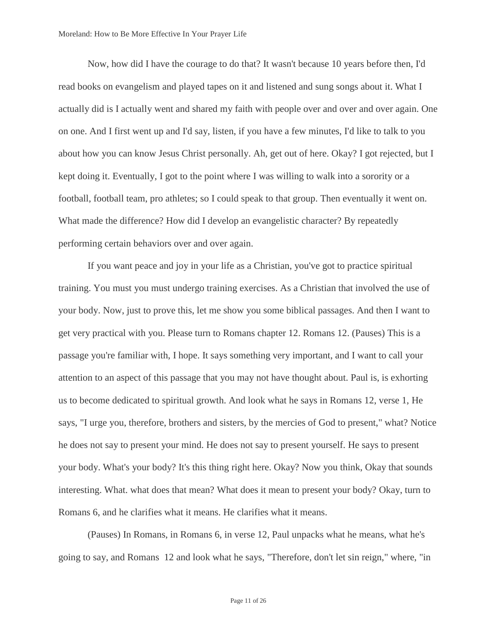Now, how did I have the courage to do that? It wasn't because 10 years before then, I'd read books on evangelism and played tapes on it and listened and sung songs about it. What I actually did is I actually went and shared my faith with people over and over and over again. One on one. And I first went up and I'd say, listen, if you have a few minutes, I'd like to talk to you about how you can know Jesus Christ personally. Ah, get out of here. Okay? I got rejected, but I kept doing it. Eventually, I got to the point where I was willing to walk into a sorority or a football, football team, pro athletes; so I could speak to that group. Then eventually it went on. What made the difference? How did I develop an evangelistic character? By repeatedly performing certain behaviors over and over again.

If you want peace and joy in your life as a Christian, you've got to practice spiritual training. You must you must undergo training exercises. As a Christian that involved the use of your body. Now, just to prove this, let me show you some biblical passages. And then I want to get very practical with you. Please turn to Romans chapter 12. Romans 12. (Pauses) This is a passage you're familiar with, I hope. It says something very important, and I want to call your attention to an aspect of this passage that you may not have thought about. Paul is, is exhorting us to become dedicated to spiritual growth. And look what he says in Romans 12, verse 1, He says, "I urge you, therefore, brothers and sisters, by the mercies of God to present," what? Notice he does not say to present your mind. He does not say to present yourself. He says to present your body. What's your body? It's this thing right here. Okay? Now you think, Okay that sounds interesting. What. what does that mean? What does it mean to present your body? Okay, turn to Romans 6, and he clarifies what it means. He clarifies what it means.

(Pauses) In Romans, in Romans 6, in verse 12, Paul unpacks what he means, what he's going to say, and Romans 12 and look what he says, "Therefore, don't let sin reign," where, "in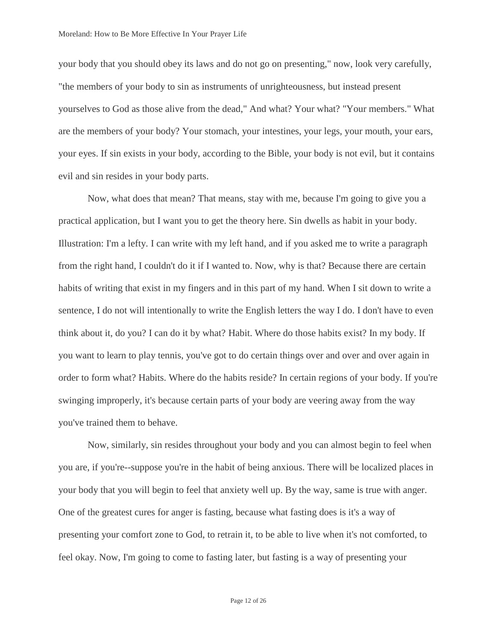your body that you should obey its laws and do not go on presenting," now, look very carefully, "the members of your body to sin as instruments of unrighteousness, but instead present yourselves to God as those alive from the dead," And what? Your what? "Your members." What are the members of your body? Your stomach, your intestines, your legs, your mouth, your ears, your eyes. If sin exists in your body, according to the Bible, your body is not evil, but it contains evil and sin resides in your body parts.

Now, what does that mean? That means, stay with me, because I'm going to give you a practical application, but I want you to get the theory here. Sin dwells as habit in your body. Illustration: I'm a lefty. I can write with my left hand, and if you asked me to write a paragraph from the right hand, I couldn't do it if I wanted to. Now, why is that? Because there are certain habits of writing that exist in my fingers and in this part of my hand. When I sit down to write a sentence, I do not will intentionally to write the English letters the way I do. I don't have to even think about it, do you? I can do it by what? Habit. Where do those habits exist? In my body. If you want to learn to play tennis, you've got to do certain things over and over and over again in order to form what? Habits. Where do the habits reside? In certain regions of your body. If you're swinging improperly, it's because certain parts of your body are veering away from the way you've trained them to behave.

Now, similarly, sin resides throughout your body and you can almost begin to feel when you are, if you're--suppose you're in the habit of being anxious. There will be localized places in your body that you will begin to feel that anxiety well up. By the way, same is true with anger. One of the greatest cures for anger is fasting, because what fasting does is it's a way of presenting your comfort zone to God, to retrain it, to be able to live when it's not comforted, to feel okay. Now, I'm going to come to fasting later, but fasting is a way of presenting your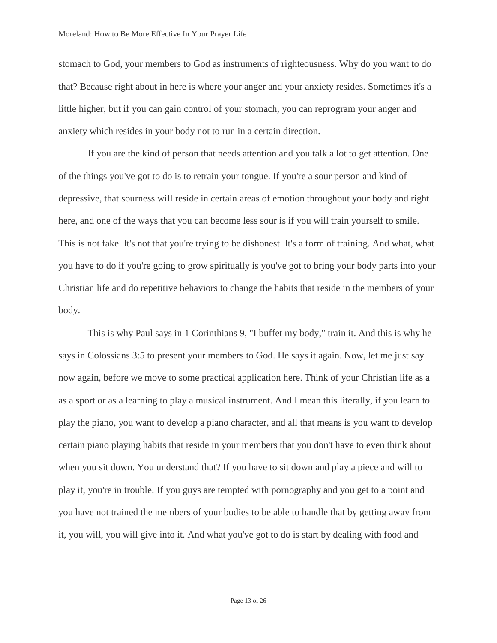stomach to God, your members to God as instruments of righteousness. Why do you want to do that? Because right about in here is where your anger and your anxiety resides. Sometimes it's a little higher, but if you can gain control of your stomach, you can reprogram your anger and anxiety which resides in your body not to run in a certain direction.

If you are the kind of person that needs attention and you talk a lot to get attention. One of the things you've got to do is to retrain your tongue. If you're a sour person and kind of depressive, that sourness will reside in certain areas of emotion throughout your body and right here, and one of the ways that you can become less sour is if you will train yourself to smile. This is not fake. It's not that you're trying to be dishonest. It's a form of training. And what, what you have to do if you're going to grow spiritually is you've got to bring your body parts into your Christian life and do repetitive behaviors to change the habits that reside in the members of your body.

This is why Paul says in 1 Corinthians 9, "I buffet my body," train it. And this is why he says in Colossians 3:5 to present your members to God. He says it again. Now, let me just say now again, before we move to some practical application here. Think of your Christian life as a as a sport or as a learning to play a musical instrument. And I mean this literally, if you learn to play the piano, you want to develop a piano character, and all that means is you want to develop certain piano playing habits that reside in your members that you don't have to even think about when you sit down. You understand that? If you have to sit down and play a piece and will to play it, you're in trouble. If you guys are tempted with pornography and you get to a point and you have not trained the members of your bodies to be able to handle that by getting away from it, you will, you will give into it. And what you've got to do is start by dealing with food and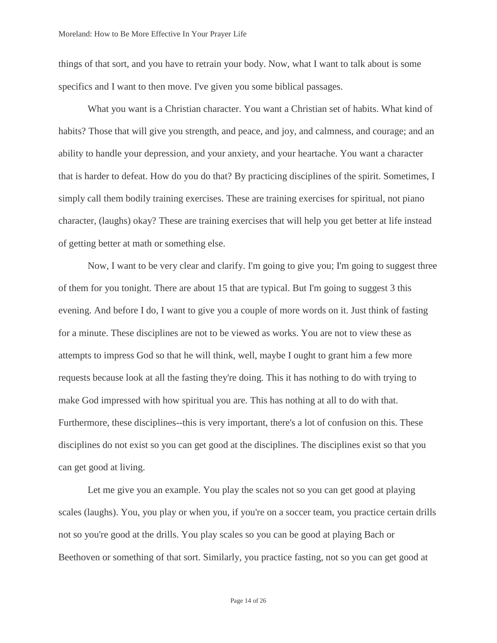things of that sort, and you have to retrain your body. Now, what I want to talk about is some specifics and I want to then move. I've given you some biblical passages.

What you want is a Christian character. You want a Christian set of habits. What kind of habits? Those that will give you strength, and peace, and joy, and calmness, and courage; and an ability to handle your depression, and your anxiety, and your heartache. You want a character that is harder to defeat. How do you do that? By practicing disciplines of the spirit. Sometimes, I simply call them bodily training exercises. These are training exercises for spiritual, not piano character, (laughs) okay? These are training exercises that will help you get better at life instead of getting better at math or something else.

Now, I want to be very clear and clarify. I'm going to give you; I'm going to suggest three of them for you tonight. There are about 15 that are typical. But I'm going to suggest 3 this evening. And before I do, I want to give you a couple of more words on it. Just think of fasting for a minute. These disciplines are not to be viewed as works. You are not to view these as attempts to impress God so that he will think, well, maybe I ought to grant him a few more requests because look at all the fasting they're doing. This it has nothing to do with trying to make God impressed with how spiritual you are. This has nothing at all to do with that. Furthermore, these disciplines--this is very important, there's a lot of confusion on this. These disciplines do not exist so you can get good at the disciplines. The disciplines exist so that you can get good at living.

Let me give you an example. You play the scales not so you can get good at playing scales (laughs). You, you play or when you, if you're on a soccer team, you practice certain drills not so you're good at the drills. You play scales so you can be good at playing Bach or Beethoven or something of that sort. Similarly, you practice fasting, not so you can get good at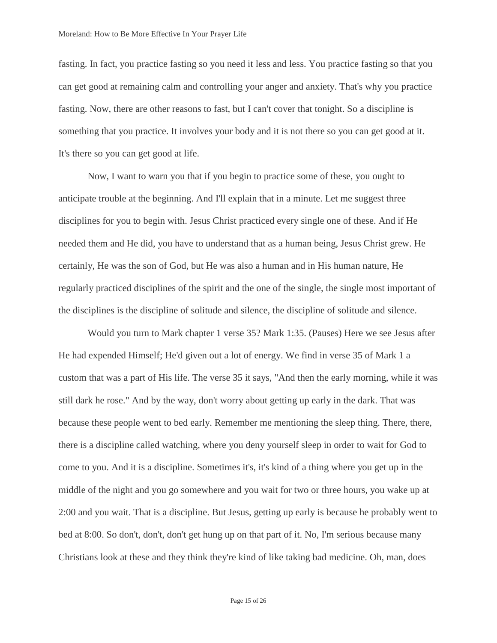fasting. In fact, you practice fasting so you need it less and less. You practice fasting so that you can get good at remaining calm and controlling your anger and anxiety. That's why you practice fasting. Now, there are other reasons to fast, but I can't cover that tonight. So a discipline is something that you practice. It involves your body and it is not there so you can get good at it. It's there so you can get good at life.

Now, I want to warn you that if you begin to practice some of these, you ought to anticipate trouble at the beginning. And I'll explain that in a minute. Let me suggest three disciplines for you to begin with. Jesus Christ practiced every single one of these. And if He needed them and He did, you have to understand that as a human being, Jesus Christ grew. He certainly, He was the son of God, but He was also a human and in His human nature, He regularly practiced disciplines of the spirit and the one of the single, the single most important of the disciplines is the discipline of solitude and silence, the discipline of solitude and silence.

Would you turn to Mark chapter 1 verse 35? Mark 1:35. (Pauses) Here we see Jesus after He had expended Himself; He'd given out a lot of energy. We find in verse 35 of Mark 1 a custom that was a part of His life. The verse 35 it says, "And then the early morning, while it was still dark he rose." And by the way, don't worry about getting up early in the dark. That was because these people went to bed early. Remember me mentioning the sleep thing. There, there, there is a discipline called watching, where you deny yourself sleep in order to wait for God to come to you. And it is a discipline. Sometimes it's, it's kind of a thing where you get up in the middle of the night and you go somewhere and you wait for two or three hours, you wake up at 2:00 and you wait. That is a discipline. But Jesus, getting up early is because he probably went to bed at 8:00. So don't, don't, don't get hung up on that part of it. No, I'm serious because many Christians look at these and they think they're kind of like taking bad medicine. Oh, man, does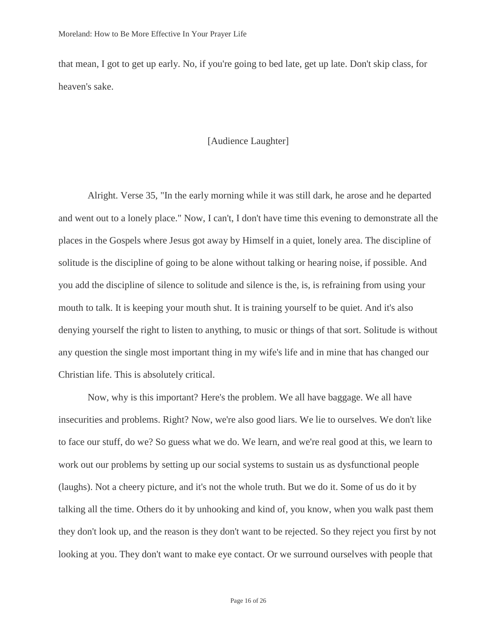that mean, I got to get up early. No, if you're going to bed late, get up late. Don't skip class, for heaven's sake.

## [Audience Laughter]

Alright. Verse 35, "In the early morning while it was still dark, he arose and he departed and went out to a lonely place." Now, I can't, I don't have time this evening to demonstrate all the places in the Gospels where Jesus got away by Himself in a quiet, lonely area. The discipline of solitude is the discipline of going to be alone without talking or hearing noise, if possible. And you add the discipline of silence to solitude and silence is the, is, is refraining from using your mouth to talk. It is keeping your mouth shut. It is training yourself to be quiet. And it's also denying yourself the right to listen to anything, to music or things of that sort. Solitude is without any question the single most important thing in my wife's life and in mine that has changed our Christian life. This is absolutely critical.

Now, why is this important? Here's the problem. We all have baggage. We all have insecurities and problems. Right? Now, we're also good liars. We lie to ourselves. We don't like to face our stuff, do we? So guess what we do. We learn, and we're real good at this, we learn to work out our problems by setting up our social systems to sustain us as dysfunctional people (laughs). Not a cheery picture, and it's not the whole truth. But we do it. Some of us do it by talking all the time. Others do it by unhooking and kind of, you know, when you walk past them they don't look up, and the reason is they don't want to be rejected. So they reject you first by not looking at you. They don't want to make eye contact. Or we surround ourselves with people that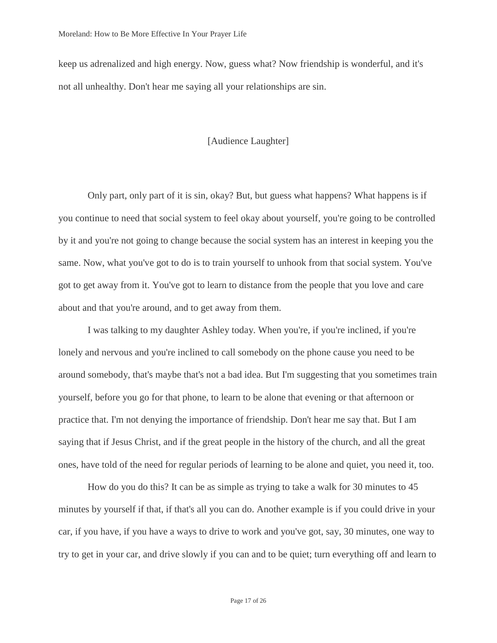keep us adrenalized and high energy. Now, guess what? Now friendship is wonderful, and it's not all unhealthy. Don't hear me saying all your relationships are sin.

### [Audience Laughter]

Only part, only part of it is sin, okay? But, but guess what happens? What happens is if you continue to need that social system to feel okay about yourself, you're going to be controlled by it and you're not going to change because the social system has an interest in keeping you the same. Now, what you've got to do is to train yourself to unhook from that social system. You've got to get away from it. You've got to learn to distance from the people that you love and care about and that you're around, and to get away from them.

I was talking to my daughter Ashley today. When you're, if you're inclined, if you're lonely and nervous and you're inclined to call somebody on the phone cause you need to be around somebody, that's maybe that's not a bad idea. But I'm suggesting that you sometimes train yourself, before you go for that phone, to learn to be alone that evening or that afternoon or practice that. I'm not denying the importance of friendship. Don't hear me say that. But I am saying that if Jesus Christ, and if the great people in the history of the church, and all the great ones, have told of the need for regular periods of learning to be alone and quiet, you need it, too.

How do you do this? It can be as simple as trying to take a walk for 30 minutes to 45 minutes by yourself if that, if that's all you can do. Another example is if you could drive in your car, if you have, if you have a ways to drive to work and you've got, say, 30 minutes, one way to try to get in your car, and drive slowly if you can and to be quiet; turn everything off and learn to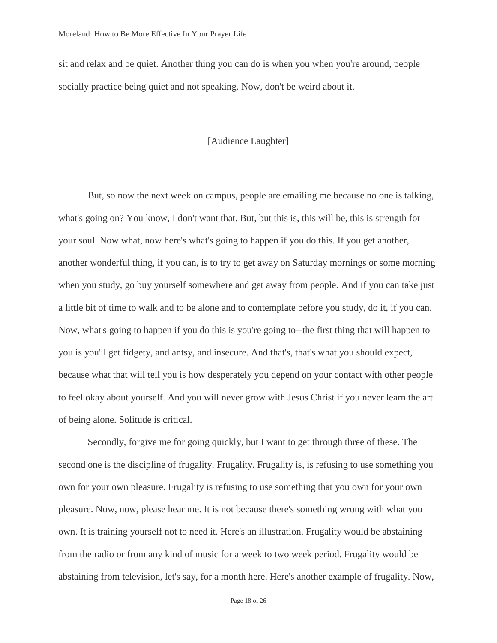sit and relax and be quiet. Another thing you can do is when you when you're around, people socially practice being quiet and not speaking. Now, don't be weird about it.

#### [Audience Laughter]

But, so now the next week on campus, people are emailing me because no one is talking, what's going on? You know, I don't want that. But, but this is, this will be, this is strength for your soul. Now what, now here's what's going to happen if you do this. If you get another, another wonderful thing, if you can, is to try to get away on Saturday mornings or some morning when you study, go buy yourself somewhere and get away from people. And if you can take just a little bit of time to walk and to be alone and to contemplate before you study, do it, if you can. Now, what's going to happen if you do this is you're going to--the first thing that will happen to you is you'll get fidgety, and antsy, and insecure. And that's, that's what you should expect, because what that will tell you is how desperately you depend on your contact with other people to feel okay about yourself. And you will never grow with Jesus Christ if you never learn the art of being alone. Solitude is critical.

Secondly, forgive me for going quickly, but I want to get through three of these. The second one is the discipline of frugality. Frugality. Frugality is, is refusing to use something you own for your own pleasure. Frugality is refusing to use something that you own for your own pleasure. Now, now, please hear me. It is not because there's something wrong with what you own. It is training yourself not to need it. Here's an illustration. Frugality would be abstaining from the radio or from any kind of music for a week to two week period. Frugality would be abstaining from television, let's say, for a month here. Here's another example of frugality. Now,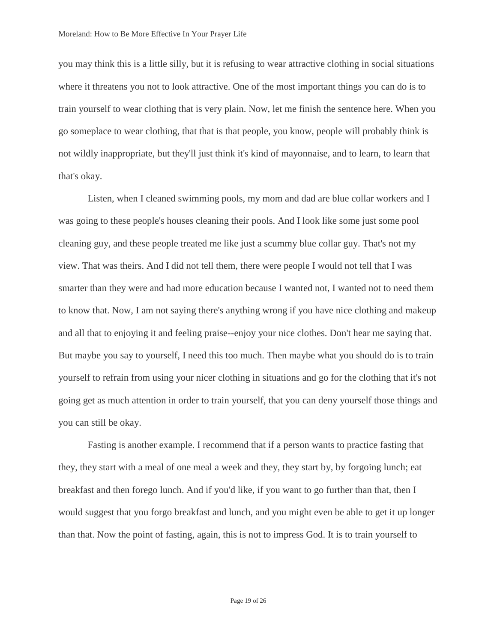you may think this is a little silly, but it is refusing to wear attractive clothing in social situations where it threatens you not to look attractive. One of the most important things you can do is to train yourself to wear clothing that is very plain. Now, let me finish the sentence here. When you go someplace to wear clothing, that that is that people, you know, people will probably think is not wildly inappropriate, but they'll just think it's kind of mayonnaise, and to learn, to learn that that's okay.

Listen, when I cleaned swimming pools, my mom and dad are blue collar workers and I was going to these people's houses cleaning their pools. And I look like some just some pool cleaning guy, and these people treated me like just a scummy blue collar guy. That's not my view. That was theirs. And I did not tell them, there were people I would not tell that I was smarter than they were and had more education because I wanted not, I wanted not to need them to know that. Now, I am not saying there's anything wrong if you have nice clothing and makeup and all that to enjoying it and feeling praise--enjoy your nice clothes. Don't hear me saying that. But maybe you say to yourself, I need this too much. Then maybe what you should do is to train yourself to refrain from using your nicer clothing in situations and go for the clothing that it's not going get as much attention in order to train yourself, that you can deny yourself those things and you can still be okay.

Fasting is another example. I recommend that if a person wants to practice fasting that they, they start with a meal of one meal a week and they, they start by, by forgoing lunch; eat breakfast and then forego lunch. And if you'd like, if you want to go further than that, then I would suggest that you forgo breakfast and lunch, and you might even be able to get it up longer than that. Now the point of fasting, again, this is not to impress God. It is to train yourself to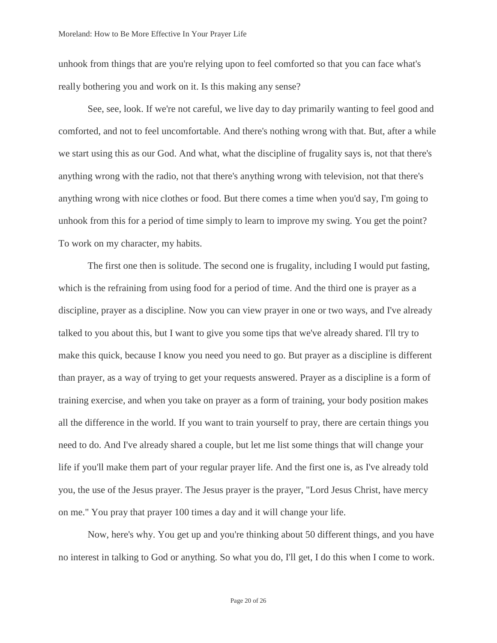unhook from things that are you're relying upon to feel comforted so that you can face what's really bothering you and work on it. Is this making any sense?

See, see, look. If we're not careful, we live day to day primarily wanting to feel good and comforted, and not to feel uncomfortable. And there's nothing wrong with that. But, after a while we start using this as our God. And what, what the discipline of frugality says is, not that there's anything wrong with the radio, not that there's anything wrong with television, not that there's anything wrong with nice clothes or food. But there comes a time when you'd say, I'm going to unhook from this for a period of time simply to learn to improve my swing. You get the point? To work on my character, my habits.

The first one then is solitude. The second one is frugality, including I would put fasting, which is the refraining from using food for a period of time. And the third one is prayer as a discipline, prayer as a discipline. Now you can view prayer in one or two ways, and I've already talked to you about this, but I want to give you some tips that we've already shared. I'll try to make this quick, because I know you need you need to go. But prayer as a discipline is different than prayer, as a way of trying to get your requests answered. Prayer as a discipline is a form of training exercise, and when you take on prayer as a form of training, your body position makes all the difference in the world. If you want to train yourself to pray, there are certain things you need to do. And I've already shared a couple, but let me list some things that will change your life if you'll make them part of your regular prayer life. And the first one is, as I've already told you, the use of the Jesus prayer. The Jesus prayer is the prayer, "Lord Jesus Christ, have mercy on me." You pray that prayer 100 times a day and it will change your life.

Now, here's why. You get up and you're thinking about 50 different things, and you have no interest in talking to God or anything. So what you do, I'll get, I do this when I come to work.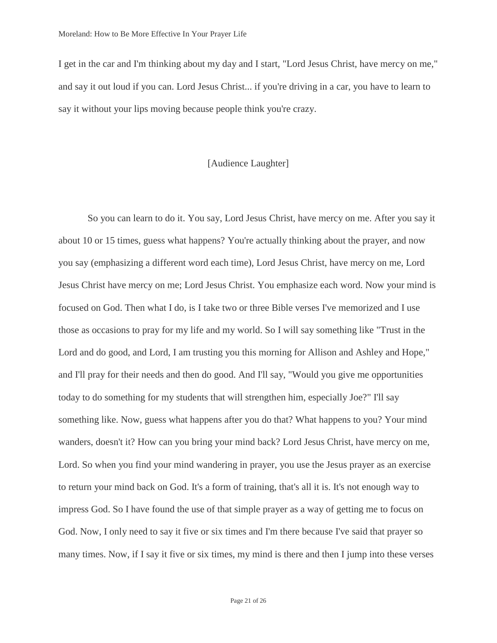I get in the car and I'm thinking about my day and I start, "Lord Jesus Christ, have mercy on me," and say it out loud if you can. Lord Jesus Christ... if you're driving in a car, you have to learn to say it without your lips moving because people think you're crazy.

## [Audience Laughter]

So you can learn to do it. You say, Lord Jesus Christ, have mercy on me. After you say it about 10 or 15 times, guess what happens? You're actually thinking about the prayer, and now you say (emphasizing a different word each time), Lord Jesus Christ, have mercy on me, Lord Jesus Christ have mercy on me; Lord Jesus Christ. You emphasize each word. Now your mind is focused on God. Then what I do, is I take two or three Bible verses I've memorized and I use those as occasions to pray for my life and my world. So I will say something like "Trust in the Lord and do good, and Lord, I am trusting you this morning for Allison and Ashley and Hope," and I'll pray for their needs and then do good. And I'll say, "Would you give me opportunities today to do something for my students that will strengthen him, especially Joe?" I'll say something like. Now, guess what happens after you do that? What happens to you? Your mind wanders, doesn't it? How can you bring your mind back? Lord Jesus Christ, have mercy on me, Lord. So when you find your mind wandering in prayer, you use the Jesus prayer as an exercise to return your mind back on God. It's a form of training, that's all it is. It's not enough way to impress God. So I have found the use of that simple prayer as a way of getting me to focus on God. Now, I only need to say it five or six times and I'm there because I've said that prayer so many times. Now, if I say it five or six times, my mind is there and then I jump into these verses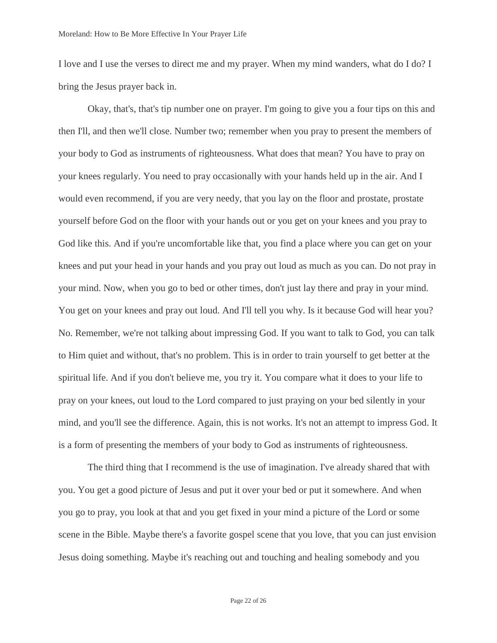I love and I use the verses to direct me and my prayer. When my mind wanders, what do I do? I bring the Jesus prayer back in.

Okay, that's, that's tip number one on prayer. I'm going to give you a four tips on this and then I'll, and then we'll close. Number two; remember when you pray to present the members of your body to God as instruments of righteousness. What does that mean? You have to pray on your knees regularly. You need to pray occasionally with your hands held up in the air. And I would even recommend, if you are very needy, that you lay on the floor and prostate, prostate yourself before God on the floor with your hands out or you get on your knees and you pray to God like this. And if you're uncomfortable like that, you find a place where you can get on your knees and put your head in your hands and you pray out loud as much as you can. Do not pray in your mind. Now, when you go to bed or other times, don't just lay there and pray in your mind. You get on your knees and pray out loud. And I'll tell you why. Is it because God will hear you? No. Remember, we're not talking about impressing God. If you want to talk to God, you can talk to Him quiet and without, that's no problem. This is in order to train yourself to get better at the spiritual life. And if you don't believe me, you try it. You compare what it does to your life to pray on your knees, out loud to the Lord compared to just praying on your bed silently in your mind, and you'll see the difference. Again, this is not works. It's not an attempt to impress God. It is a form of presenting the members of your body to God as instruments of righteousness.

The third thing that I recommend is the use of imagination. I've already shared that with you. You get a good picture of Jesus and put it over your bed or put it somewhere. And when you go to pray, you look at that and you get fixed in your mind a picture of the Lord or some scene in the Bible. Maybe there's a favorite gospel scene that you love, that you can just envision Jesus doing something. Maybe it's reaching out and touching and healing somebody and you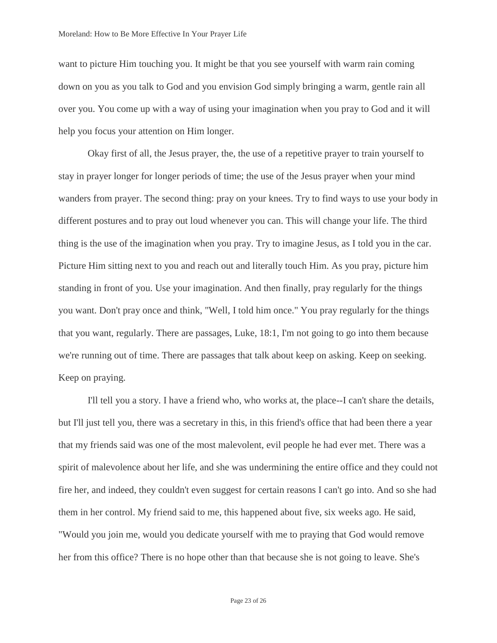want to picture Him touching you. It might be that you see yourself with warm rain coming down on you as you talk to God and you envision God simply bringing a warm, gentle rain all over you. You come up with a way of using your imagination when you pray to God and it will help you focus your attention on Him longer.

Okay first of all, the Jesus prayer, the, the use of a repetitive prayer to train yourself to stay in prayer longer for longer periods of time; the use of the Jesus prayer when your mind wanders from prayer. The second thing: pray on your knees. Try to find ways to use your body in different postures and to pray out loud whenever you can. This will change your life. The third thing is the use of the imagination when you pray. Try to imagine Jesus, as I told you in the car. Picture Him sitting next to you and reach out and literally touch Him. As you pray, picture him standing in front of you. Use your imagination. And then finally, pray regularly for the things you want. Don't pray once and think, "Well, I told him once." You pray regularly for the things that you want, regularly. There are passages, Luke, 18:1, I'm not going to go into them because we're running out of time. There are passages that talk about keep on asking. Keep on seeking. Keep on praying.

I'll tell you a story. I have a friend who, who works at, the place--I can't share the details, but I'll just tell you, there was a secretary in this, in this friend's office that had been there a year that my friends said was one of the most malevolent, evil people he had ever met. There was a spirit of malevolence about her life, and she was undermining the entire office and they could not fire her, and indeed, they couldn't even suggest for certain reasons I can't go into. And so she had them in her control. My friend said to me, this happened about five, six weeks ago. He said, "Would you join me, would you dedicate yourself with me to praying that God would remove her from this office? There is no hope other than that because she is not going to leave. She's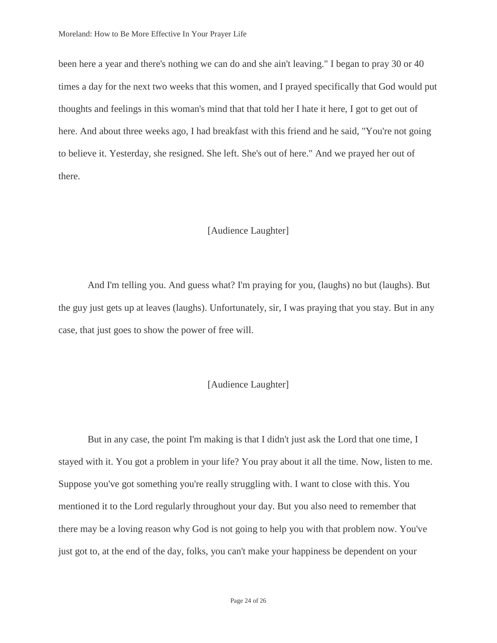been here a year and there's nothing we can do and she ain't leaving." I began to pray 30 or 40 times a day for the next two weeks that this women, and I prayed specifically that God would put thoughts and feelings in this woman's mind that that told her I hate it here, I got to get out of here. And about three weeks ago, I had breakfast with this friend and he said, "You're not going to believe it. Yesterday, she resigned. She left. She's out of here." And we prayed her out of there.

#### [Audience Laughter]

And I'm telling you. And guess what? I'm praying for you, (laughs) no but (laughs). But the guy just gets up at leaves (laughs). Unfortunately, sir, I was praying that you stay. But in any case, that just goes to show the power of free will.

## [Audience Laughter]

But in any case, the point I'm making is that I didn't just ask the Lord that one time, I stayed with it. You got a problem in your life? You pray about it all the time. Now, listen to me. Suppose you've got something you're really struggling with. I want to close with this. You mentioned it to the Lord regularly throughout your day. But you also need to remember that there may be a loving reason why God is not going to help you with that problem now. You've just got to, at the end of the day, folks, you can't make your happiness be dependent on your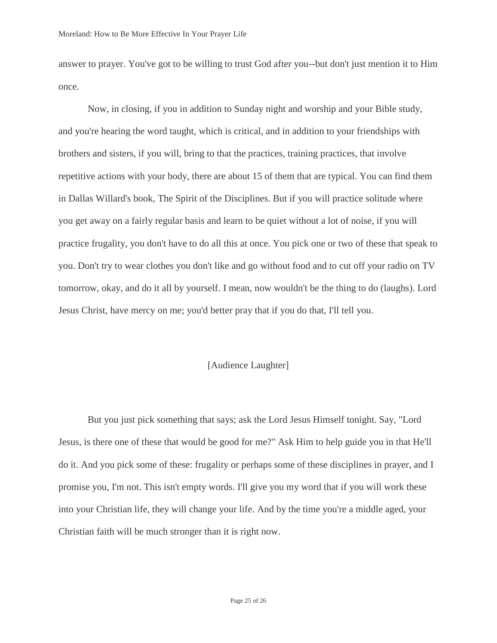answer to prayer. You've got to be willing to trust God after you--but don't just mention it to Him once.

Now, in closing, if you in addition to Sunday night and worship and your Bible study, and you're hearing the word taught, which is critical, and in addition to your friendships with brothers and sisters, if you will, bring to that the practices, training practices, that involve repetitive actions with your body, there are about 15 of them that are typical. You can find them in Dallas Willard's book, The Spirit of the Disciplines. But if you will practice solitude where you get away on a fairly regular basis and learn to be quiet without a lot of noise, if you will practice frugality, you don't have to do all this at once. You pick one or two of these that speak to you. Don't try to wear clothes you don't like and go without food and to cut off your radio on TV tomorrow, okay, and do it all by yourself. I mean, now wouldn't be the thing to do (laughs). Lord Jesus Christ, have mercy on me; you'd better pray that if you do that, I'll tell you.

## [Audience Laughter]

But you just pick something that says; ask the Lord Jesus Himself tonight. Say, "Lord Jesus, is there one of these that would be good for me?" Ask Him to help guide you in that He'll do it. And you pick some of these: frugality or perhaps some of these disciplines in prayer, and I promise you, I'm not. This isn't empty words. I'll give you my word that if you will work these into your Christian life, they will change your life. And by the time you're a middle aged, your Christian faith will be much stronger than it is right now.